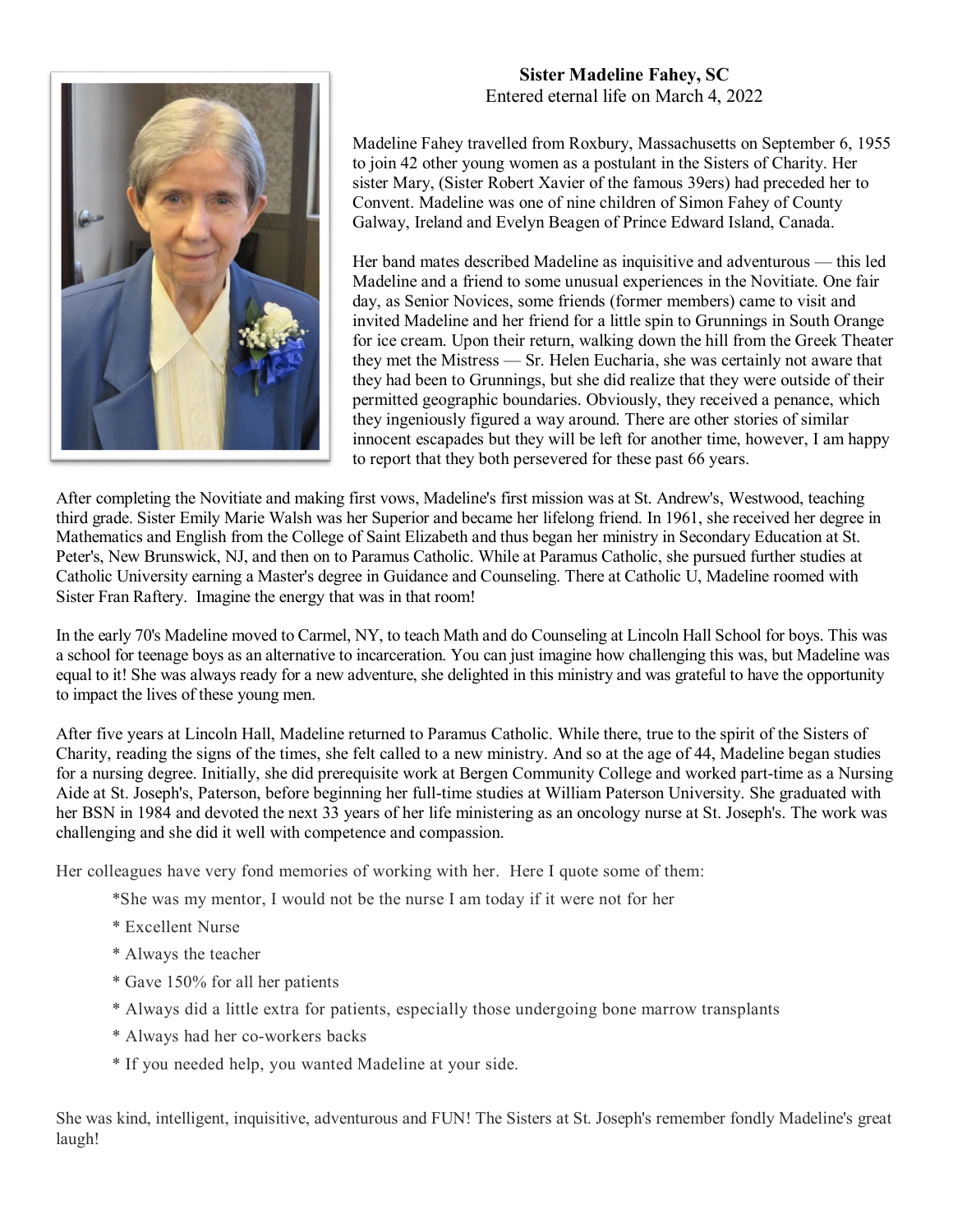

## **Sister Madeline Fahey, SC** Entered eternal life on March 4, 2022

Madeline Fahey travelled from Roxbury, Massachusetts on September 6, 1955 to join 42 other young women as a postulant in the Sisters of Charity. Her sister Mary, (Sister Robert Xavier of the famous 39ers) had preceded her to Convent. Madeline was one of nine children of Simon Fahey of County Galway, Ireland and Evelyn Beagen of Prince Edward Island, Canada.

Her band mates described Madeline as inquisitive and adventurous — this led Madeline and a friend to some unusual experiences in the Novitiate. One fair day, as Senior Novices, some friends (former members) came to visit and invited Madeline and her friend for a little spin to Grunnings in South Orange for ice cream. Upon their return, walking down the hill from the Greek Theater they met the Mistress — Sr. Helen Eucharia, she was certainly not aware that they had been to Grunnings, but she did realize that they were outside of their permitted geographic boundaries. Obviously, they received a penance, which they ingeniously figured a way around. There are other stories of similar innocent escapades but they will be left for another time, however, I am happy to report that they both persevered for these past 66 years.

After completing the Novitiate and making first vows, Madeline's first mission was at St. Andrew's, Westwood, teaching third grade. Sister Emily Marie Walsh was her Superior and became her lifelong friend. In 1961, she received her degree in Mathematics and English from the College of Saint Elizabeth and thus began her ministry in Secondary Education at St. Peter's, New Brunswick, NJ, and then on to Paramus Catholic. While at Paramus Catholic, she pursued further studies at Catholic University earning a Master's degree in Guidance and Counseling. There at Catholic U, Madeline roomed with Sister Fran Raftery. Imagine the energy that was in that room!

In the early 70's Madeline moved to Carmel, NY, to teach Math and do Counseling at Lincoln Hall School for boys. This was a school for teenage boys as an alternative to incarceration. You can just imagine how challenging this was, but Madeline was equal to it! She was always ready for a new adventure, she delighted in this ministry and was grateful to have the opportunity to impact the lives of these young men.

After five years at Lincoln Hall, Madeline returned to Paramus Catholic. While there, true to the spirit of the Sisters of Charity, reading the signs of the times, she felt called to a new ministry. And so at the age of 44, Madeline began studies for a nursing degree. Initially, she did prerequisite work at Bergen Community College and worked part-time as a Nursing Aide at St. Joseph's, Paterson, before beginning her full-time studies at William Paterson University. She graduated with her BSN in 1984 and devoted the next 33 years of her life ministering as an oncology nurse at St. Joseph's. The work was challenging and she did it well with competence and compassion.

Her colleagues have very fond memories of working with her. Here I quote some of them:

- \*She was my mentor, I would not be the nurse I am today if it were not for her
- \* Excellent Nurse
- \* Always the teacher
- \* Gave 150% for all her patients
- \* Always did a little extra for patients, especially those undergoing bone marrow transplants
- \* Always had her co-workers backs
- \* If you needed help, you wanted Madeline at your side.

She was kind, intelligent, inquisitive, adventurous and FUN! The Sisters at St. Joseph's remember fondly Madeline's great laugh!